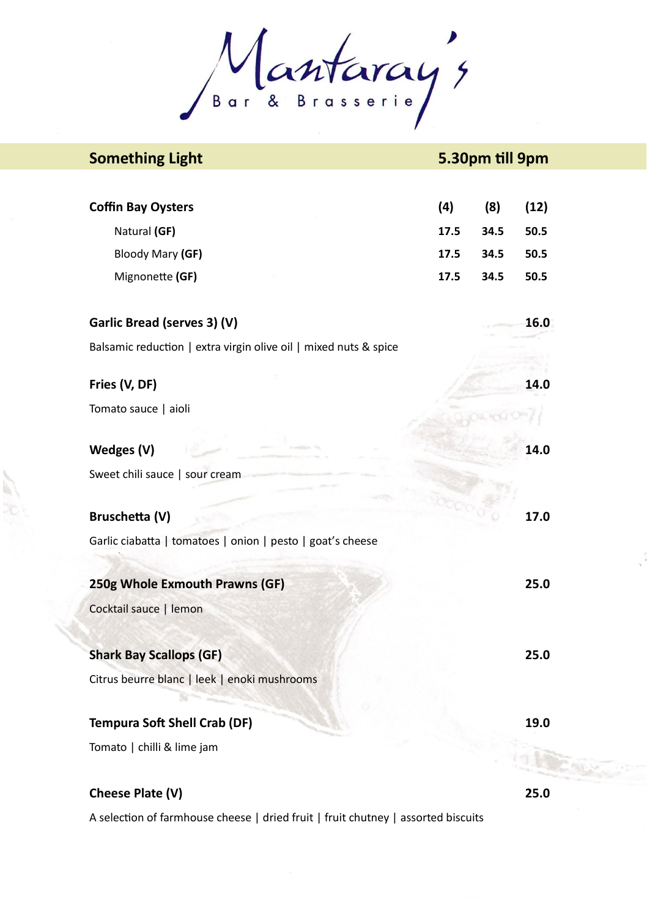Mantaray's

| <b>Something Light</b>                                           | 5.30pm till 9pm |      |      |
|------------------------------------------------------------------|-----------------|------|------|
|                                                                  |                 |      |      |
| <b>Coffin Bay Oysters</b>                                        | (4)             | (8)  | (12) |
| Natural (GF)                                                     | 17.5            | 34.5 | 50.5 |
| Bloody Mary (GF)                                                 | 17.5            | 34.5 | 50.5 |
| Mignonette (GF)                                                  | 17.5            | 34.5 | 50.5 |
|                                                                  |                 |      |      |
| Garlic Bread (serves 3) (V)                                      |                 |      | 16.0 |
| Balsamic reduction   extra virgin olive oil   mixed nuts & spice |                 |      |      |
| Fries (V, DF)                                                    |                 |      | 14.0 |
|                                                                  |                 |      |      |
| Tomato sauce   aioli                                             |                 |      |      |
| Wedges (V)                                                       |                 |      | 14.0 |
| Sweet chili sauce   sour cream                                   |                 |      |      |
|                                                                  |                 |      |      |
| Bruschetta (V)                                                   |                 |      | 17.0 |
| Garlic ciabatta   tomatoes   onion   pesto   goat's cheese       |                 |      |      |
|                                                                  |                 |      |      |
| 250g Whole Exmouth Prawns (GF)                                   |                 |      | 25.0 |
| Cocktail sauce   lemon                                           |                 |      |      |
|                                                                  |                 |      |      |
| <b>Shark Bay Scallops (GF)</b>                                   |                 |      | 25.0 |
| Citrus beurre blanc   leek   enoki mushrooms                     |                 |      |      |
|                                                                  |                 |      |      |
| Tempura Soft Shell Crab (DF)                                     |                 |      | 19.0 |
| Tomato   chilli & lime jam                                       |                 |      |      |
|                                                                  |                 |      |      |
| Cheese Plate (V)                                                 |                 |      | 25.0 |

A selection of farmhouse cheese | dried fruit | fruit chutney | assorted biscuits